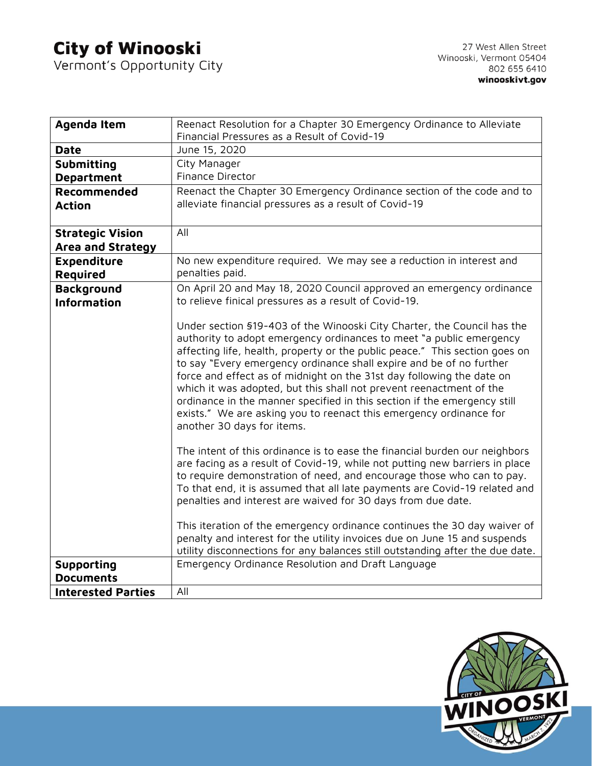## **City of Winooski**<br>Vermont's Opportunity City

| Agenda Item               | Reenact Resolution for a Chapter 30 Emergency Ordinance to Alleviate                                                                         |
|---------------------------|----------------------------------------------------------------------------------------------------------------------------------------------|
|                           | Financial Pressures as a Result of Covid-19                                                                                                  |
| <b>Date</b>               | June 15, 2020                                                                                                                                |
| <b>Submitting</b>         | City Manager                                                                                                                                 |
| <b>Department</b>         | Finance Director                                                                                                                             |
| Recommended               | Reenact the Chapter 30 Emergency Ordinance section of the code and to                                                                        |
| <b>Action</b>             | alleviate financial pressures as a result of Covid-19                                                                                        |
|                           |                                                                                                                                              |
| <b>Strategic Vision</b>   | All                                                                                                                                          |
| Area and Strategy         |                                                                                                                                              |
| <b>Expenditure</b>        | No new expenditure required. We may see a reduction in interest and                                                                          |
| <b>Required</b>           | penalties paid.                                                                                                                              |
| <b>Background</b>         | On April 20 and May 18, 2020 Council approved an emergency ordinance                                                                         |
| <b>Information</b>        | to relieve finical pressures as a result of Covid-19.                                                                                        |
|                           |                                                                                                                                              |
|                           | Under section §19-403 of the Winooski City Charter, the Council has the                                                                      |
|                           | authority to adopt emergency ordinances to meet "a public emergency                                                                          |
|                           | affecting life, health, property or the public peace." This section goes on                                                                  |
|                           | to say "Every emergency ordinance shall expire and be of no further<br>force and effect as of midnight on the 31st day following the date on |
|                           | which it was adopted, but this shall not prevent reenactment of the                                                                          |
|                           | ordinance in the manner specified in this section if the emergency still                                                                     |
|                           | exists." We are asking you to reenact this emergency ordinance for                                                                           |
|                           | another 30 days for items.                                                                                                                   |
|                           |                                                                                                                                              |
|                           | The intent of this ordinance is to ease the financial burden our neighbors                                                                   |
|                           | are facing as a result of Covid-19, while not putting new barriers in place                                                                  |
|                           | to require demonstration of need, and encourage those who can to pay.                                                                        |
|                           | To that end, it is assumed that all late payments are Covid-19 related and                                                                   |
|                           | penalties and interest are waived for 30 days from due date.                                                                                 |
|                           | This iteration of the emergency ordinance continues the 30 day waiver of                                                                     |
|                           | penalty and interest for the utility invoices due on June 15 and suspends                                                                    |
|                           | utility disconnections for any balances still outstanding after the due date.                                                                |
| <b>Supporting</b>         | Emergency Ordinance Resolution and Draft Language                                                                                            |
| <b>Documents</b>          |                                                                                                                                              |
| <b>Interested Parties</b> | All                                                                                                                                          |
|                           |                                                                                                                                              |